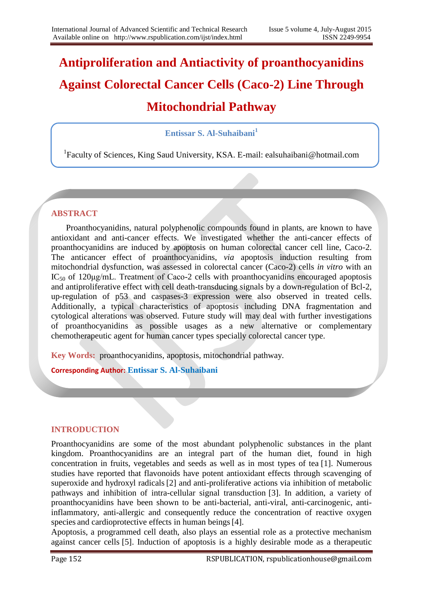# **Antiproliferation and Antiactivity of proanthocyanidins Against Colorectal Cancer Cells (Caco-2) Line Through Mitochondrial Pathway**

## **Entissar S. Al-Suhaibani<sup>1</sup>**

<sup>1</sup>Faculty of Sciences, King Saud University, KSA. E-mail: ealsuhaibani@hotmail.com

### **ABSTRACT**

 Proanthocyanidins, natural polyphenolic compounds found in plants, are known to have antioxidant and anti-cancer effects. We investigated whether the anti-cancer effects of proanthocyanidins are induced by apoptosis on human colorectal cancer cell line, Caco-2. The anticancer effect of proanthocyanidins, *via* apoptosis induction resulting from mitochondrial dysfunction, was assessed in colorectal cancer (Caco-2) cells *in vitro* with an  $IC_{50}$  of 120μg/mL. Treatment of Caco-2 cells with proanthocyanidins encouraged apoptosis and antiproliferative effect with cell death-transducing signals by a down-regulation of Bcl-2, up-regulation of p53 and caspases-3 expression were also observed in treated cells. Additionally, a typical characteristics of apoptosis including DNA fragmentation and cytological alterations was observed. Future study will may deal with further investigations of proanthocyanidins as possible usages as a new alternative or complementary chemotherapeutic agent for human cancer types specially colorectal cancer type.

**Key Words:** proanthocyanidins, apoptosis, mitochondrial pathway.

**Corresponding Author: Entissar S. Al-Suhaibani**

#### **INTRODUCTION**

Proanthocyanidins are some of the most abundant polyphenolic substances in the plant kingdom. Proanthocyanidins are an integral part of the human diet, found in high concentration in fruits, vegetables and seeds as well as in most types of tea [1]. Numerous studies have reported that flavonoids have potent antioxidant effects through scavenging of superoxide and hydroxyl radicals [2] and anti-proliferative actions via inhibition of metabolic pathways and inhibition of intra-cellular signal transduction [3]. In addition, a variety of proanthocyanidins have been shown to be anti-bacterial, anti-viral, anti-carcinogenic, antiinflammatory, anti-allergic and consequently reduce the concentration of reactive oxygen species and cardioprotective effects in human beings [4].

Apoptosis, a programmed cell death, also plays an essential role as a protective mechanism against cancer cells [5]. Induction of apoptosis is a highly desirable mode as a therapeutic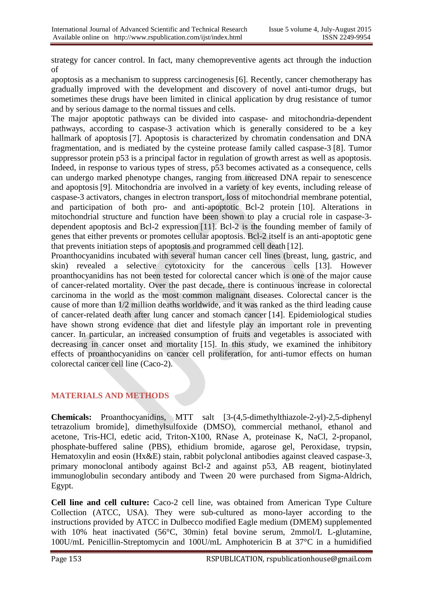strategy for cancer control. In fact, many chemopreventive agents act through the induction of

apoptosis as a mechanism to suppress carcinogenesis [6]. Recently, cancer chemotherapy has gradually improved with the development and discovery of novel anti-tumor drugs, but sometimes these drugs have been limited in clinical application by drug resistance of tumor and by serious damage to the normal tissues and cells.

The major apoptotic pathways can be divided into caspase- and mitochondria-dependent pathways, according to caspase-3 activation which is generally considered to be a key hallmark of apoptosis [7]. Apoptosis is characterized by chromatin condensation and DNA fragmentation, and is mediated by the cysteine protease family called caspase-3 [8]. Tumor suppressor protein p53 is a principal factor in regulation of growth arrest as well as apoptosis. Indeed, in response to various types of stress, p53 becomes activated as a consequence, cells can undergo marked phenotype changes, ranging from increased DNA repair to senescence and apoptosis [9]. Mitochondria are involved in a variety of key events, including release of caspase-3 activators, changes in electron transport, loss of mitochondrial membrane potential, and participation of both pro- and anti-apoptotic Bcl-2 protein [10]. Alterations in mitochondrial structure and function have been shown to play a crucial role in caspase-3 dependent apoptosis and Bcl-2 expression [11]. Bcl-2 is the founding member of family of genes that either prevents or promotes cellular apoptosis. Bcl-2 itself is an anti-apoptotic gene that prevents initiation steps of apoptosis and programmed cell death [12].

Proanthocyanidins incubated with several human cancer cell lines (breast, lung, gastric, and skin) revealed a selective cytotoxicity for the cancerous cells [13]. However proanthocyanidins has not been tested for colorectal cancer which is one of the major cause of cancer-related mortality. Over the past decade, there is continuous increase in colorectal carcinoma in the world as the most common malignant diseases. Colorectal cancer is the cause of more than 1/2 million deaths worldwide, and it was ranked as the third leading cause of cancer-related death after lung cancer and stomach cancer [14]. Epidemiological studies have shown strong evidence that diet and lifestyle play an important role in preventing cancer. In particular, an increased consumption of fruits and vegetables is associated with decreasing in cancer onset and mortality [15]. In this study, we examined the inhibitory effects of proanthocyanidins on cancer cell proliferation, for anti-tumor effects on human colorectal cancer cell line (Caco-2).

# **MATERIALS AND METHODS**

**Chemicals:** Proanthocyanidins, MTT salt [3-(4,5-dimethylthiazole-2-yl)-2,5-diphenyl tetrazolium bromide], dimethylsulfoxide (DMSO), commercial methanol, ethanol and acetone, Tris-HCl, edetic acid, Triton-X100, RNase A, proteinase K, NaCl, 2-propanol, phosphate-buffered saline (PBS), ethidium bromide, agarose gel, Peroxidase, trypsin, Hematoxylin and eosin (Hx&E) stain, rabbit polyclonal antibodies against cleaved caspase-3, primary monoclonal antibody against Bcl-2 and against p53, AB reagent, biotinylated immunoglobulin secondary antibody and Tween 20 were purchased from Sigma-Aldrich, Egypt.

**Cell line and cell culture:** Caco-2 cell line, was obtained from American Type Culture Collection (ATCC, USA). They were sub-cultured as mono-layer according to the instructions provided by ATCC in Dulbecco modified Eagle medium (DMEM) supplemented with 10% heat inactivated (56°C, 30min) fetal bovine serum, 2mmol/L L-glutamine, 100U/mL Penicillin-Streptomycin and 100U/mL Amphotericin B at 37°C in a humidified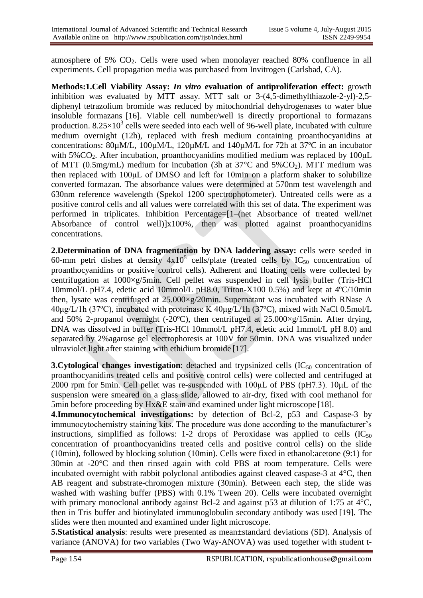atmosphere of 5%  $CO<sub>2</sub>$ . Cells were used when monolayer reached 80% confluence in all experiments. Cell propagation media was purchased from Invitrogen (Carlsbad, CA).

**Methods:1.Cell Viability Assay:** *In vitro* **evaluation of antiproliferation effect:** growth inhibition was evaluated by MTT assay. MTT salt or 3-(4,5-dimethylthiazole-2-yl)-2,5 diphenyl tetrazolium bromide was reduced by mitochondrial dehydrogenases to water blue insoluble formazans [16]. Viable cell number/well is directly proportional to formazans production.  $8.25 \times 10^3$  cells were seeded into each well of 96-well plate, incubated with culture medium overnight (12h), replaced with fresh medium containing proanthocyanidins at concentrations: 80µM/L, 100µM/L, 120µM/L and 140µM/L for 72h at 37ºC in an incubator with  $5\%CO_2$ . After incubation, proanthocyanidins modified medium was replaced by  $100\mu L$ of MTT (0.5mg/mL) medium for incubation (3h at  $37^{\circ}$ C and  $5\%$ CO<sub>2</sub>). MTT medium was then replaced with 100μL of DMSO and left for 10min on a platform shaker to solubilize converted formazan. The absorbance values were determined at 570nm test wavelength and 630nm reference wavelength (Spekol 1200 spectrophotometer). Untreated cells were as a positive control cells and all values were correlated with this set of data. The experiment was performed in triplicates. Inhibition Percentage=[1–(net Absorbance of treated well/net Absorbance of control well)]x100%, then was plotted against proanthocyanidins concentrations.

**2.Determination of DNA fragmentation by DNA laddering assay:** cells were seeded in 60-mm petri dishes at density  $4x10^5$  cells/plate (treated cells by IC<sub>50</sub> concentration of proanthocyanidins or positive control cells). Adherent and floating cells were collected by centrifugation at 1000×g/5min. Cell pellet was suspended in cell lysis buffer (Tris-HCl 10mmol/L pH7.4, edetic acid 10mmol/L pH8.0, Triton-X100 0.5%) and kept at 4ºC/10min then, lysate was centrifuged at 25.000×g/20min. Supernatant was incubated with RNase A 40μg/L/1h (37ºC), incubated with proteinase K 40μg/L/1h (37ºC), mixed with NaCl 0.5mol/L and 50% 2-propanol overnight (-20 $^{\circ}$ C), then centrifuged at 25.000×g/15min. After drying, DNA was dissolved in buffer (Tris-HCl 10mmol/L pH7.4, edetic acid 1mmol/L pH 8.0) and separated by 2%agarose gel electrophoresis at 100V for 50min. DNA was visualized under ultraviolet light after staining with ethidium bromide [17].

**3. Cytological changes investigation:** detached and trypsinized cells (IC<sub>50</sub> concentration of proanthocyanidins treated cells and positive control cells) were collected and centrifuged at 2000 rpm for 5min. Cell pellet was re-suspended with 100μL of PBS (pH7.3). 10μL of the suspension were smeared on a glass slide, allowed to air-dry, fixed with cool methanol for 5min before proceeding by Hx&E stain and examined under light microscope [18].

**4.Immunocytochemical investigations:** by detection of Bcl-2, p53 and Caspase-3 by immunocytochemistry staining kits. The procedure was done according to the manufacturer's instructions, simplified as follows: 1-2 drops of Peroxidase was applied to cells  $(IC_{50})$ concentration of proanthocyanidins treated cells and positive control cells) on the slide (10min), followed by blocking solution (10min). Cells were fixed in ethanol:acetone (9:1) for 30min at -20°C and then rinsed again with cold PBS at room temperature. Cells were incubated overnight with rabbit polyclonal antibodies against cleaved caspase-3 at 4°C, then AB reagent and substrate-chromogen mixture (30min). Between each step, the slide was washed with washing buffer (PBS) with 0.1% Tween 20). Cells were incubated overnight with primary monoclonal antibody against Bcl-2 and against p53 at dilution of 1:75 at 4°C, then in Tris buffer and biotinylated immunoglobulin secondary antibody was used [19]. The slides were then mounted and examined under light microscope.

**5.Statistical analysis**: results were presented as mean±standard deviations (SD). Analysis of variance (ANOVA) for two variables (Two Way-ANOVA) was used together with student t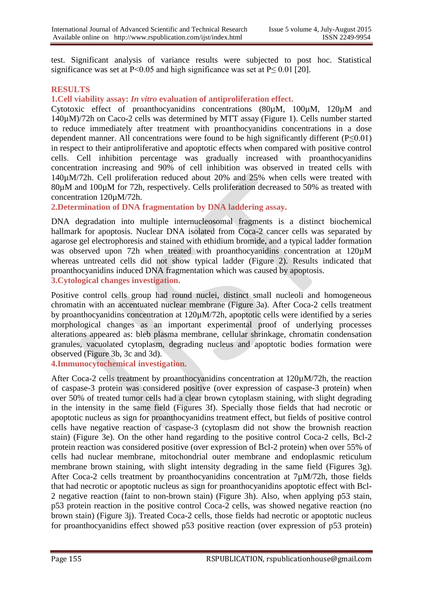test. Significant analysis of variance results were subjected to post hoc. Statistical significance was set at P<0.05 and high significance was set at P $\leq$  0.01 [20].

#### **RESULTS**

**1.Cell viability assay:** *In vitro* **evaluation of antiproliferation effect.**

Cytotoxic effect of proanthocyanidins concentrations (80µM, 100µM, 120µM and 140µM)/72h on Caco-2 cells was determined by MTT assay (Figure 1). Cells number started to reduce immediately after treatment with proanthocyanidins concentrations in a dose dependent manner. All concentrations were found to be high significantly different (P≤0.01) in respect to their antiproliferative and apoptotic effects when compared with positive control cells. Cell inhibition percentage was gradually increased with proanthocyanidins concentration increasing and 90% of cell inhibition was observed in treated cells with 140µM/72h. Cell proliferation reduced about 20% and 25% when cells were treated with 80µM and 100µM for 72h, respectively. Cells proliferation decreased to 50% as treated with concentration 120µM/72h.

**2.Determination of DNA fragmentation by DNA laddering assay.**

DNA degradation into multiple internucleosomal fragments is a distinct biochemical hallmark for apoptosis. Nuclear DNA isolated from Coca-2 cancer cells was separated by agarose gel electrophoresis and stained with ethidium bromide, and a typical ladder formation was observed upon 72h when treated with proanthocyanidins concentration at  $120 \mu M$ whereas untreated cells did not show typical ladder (Figure 2). Results indicated that proanthocyanidins induced DNA fragmentation which was caused by apoptosis. **3.Cytological changes investigation.**

Positive control cells group had round nuclei, distinct small nucleoli and homogeneous chromatin with an accentuated nuclear membrane (Figure 3a). After Coca-2 cells treatment by proanthocyanidins concentration at 120µM/72h, apoptotic cells were identified by a series morphological changes as an important experimental proof of underlying processes alterations appeared as: bleb plasma membrane, cellular shrinkage, chromatin condensation granules, vacuolated cytoplasm, degrading nucleus and apoptotic bodies formation were observed (Figure 3b, 3c and 3d).

**4.Immunocytochemical investigation.**

After Coca-2 cells treatment by proanthocyanidins concentration at 120µM/72h, the reaction of caspase-3 protein was considered positive (over expression of caspase-3 protein) when over 50% of treated tumor cells had a clear brown cytoplasm staining, with slight degrading in the intensity in the same field (Figures 3f). Specially those fields that had necrotic or apoptotic nucleus as sign for proanthocyanidins treatment effect, but fields of positive control cells have negative reaction of caspase-3 (cytoplasm did not show the brownish reaction stain) (Figure 3e). On the other hand regarding to the positive control Coca-2 cells, Bcl-2 protein reaction was considered positive (over expression of Bcl-2 protein) when over 55% of cells had nuclear membrane, mitochondrial outer membrane and endoplasmic reticulum membrane brown staining, with slight intensity degrading in the same field (Figures 3g). After Coca-2 cells treatment by proanthocyanidins concentration at 7µM/72h, those fields that had necrotic or apoptotic nucleus as sign for proanthocyanidins apoptotic effect with Bcl-2 negative reaction (faint to non-brown stain) (Figure 3h). Also, when applying p53 stain, p53 protein reaction in the positive control Coca-2 cells, was showed negative reaction (no brown stain) (Figure 3j). Treated Coca-2 cells, those fields had necrotic or apoptotic nucleus for proanthocyanidins effect showed p53 positive reaction (over expression of p53 protein)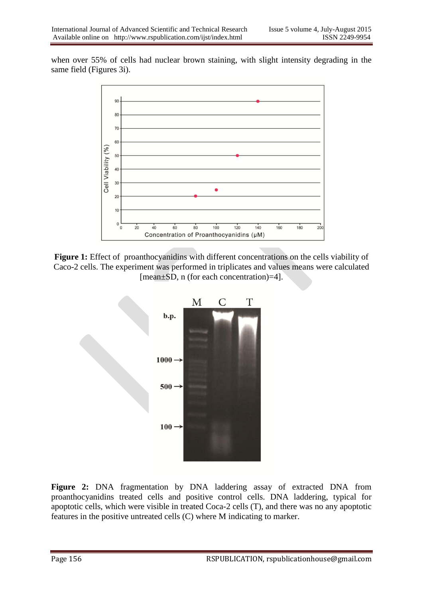when over 55% of cells had nuclear brown staining, with slight intensity degrading in the same field (Figures 3i).



Figure 1: Effect of proanthocyanidins with different concentrations on the cells viability of Caco-2 cells. The experiment was performed in triplicates and values means were calculated [mean±SD, n (for each concentration)=4].



**Figure 2:** DNA fragmentation by DNA laddering assay of extracted DNA from proanthocyanidins treated cells and positive control cells. DNA laddering, typical for apoptotic cells, which were visible in treated Coca-2 cells (T), and there was no any apoptotic features in the positive untreated cells (C) where M indicating to marker.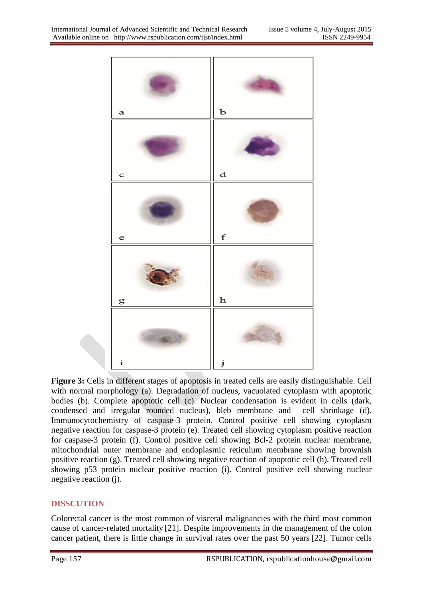

**Figure 3:** Cells in different stages of apoptosis in treated cells are easily distinguishable. Cell with normal morphology (a). Degradation of nucleus, vacuolated cytoplasm with apoptotic bodies (b). Complete apoptotic cell (c). Nuclear condensation is evident in cells (dark, condensed and irregular rounded nucleus), bleb membrane and cell shrinkage (d). Immunocytochemistry of caspase-3 protein. Control positive cell showing cytoplasm negative reaction for caspase-3 protein (e). Treated cell showing cytoplasm positive reaction for caspase-3 protein (f). Control positive cell showing Bcl-2 protein nuclear membrane, mitochondrial outer membrane and endoplasmic reticulum membrane showing brownish positive reaction (g). Treated cell showing negative reaction of apoptotic cell (h). Treated cell showing p53 protein nuclear positive reaction (i). Control positive cell showing nuclear negative reaction (j).

# **DISSCUTION**

Colorectal cancer is the most common of visceral malignancies with the third most common cause of cancer-related mortality [21]. Despite improvements in the management of the colon cancer patient, there is little change in survival rates over the past 50 years [22]. Tumor cells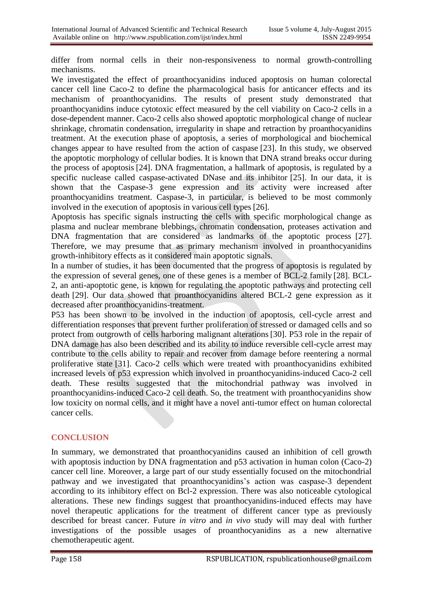differ from normal cells in their non-responsiveness to normal growth-controlling mechanisms.

We investigated the effect of proanthocyanidins induced apoptosis on human colorectal cancer cell line Caco-2 to define the pharmacological basis for anticancer effects and its mechanism of proanthocyanidins. The results of present study demonstrated that proanthocyanidins induce cytotoxic effect measured by the cell viability on Caco-2 cells in a dose-dependent manner. Caco-2 cells also showed apoptotic morphological change of nuclear shrinkage, chromatin condensation, irregularity in shape and retraction by proanthocyanidins treatment. At the execution phase of apoptosis, a series of morphological and biochemical changes appear to have resulted from the action of caspase [23]. In this study, we observed the apoptotic morphology of cellular bodies. It is known that DNA strand breaks occur during the process of apoptosis [24]. DNA fragmentation, a hallmark of apoptosis, is regulated by a specific nuclease called caspase-activated DNase and its inhibitor [25]. In our data, it is shown that the Caspase-3 gene expression and its activity were increased after proanthocyanidins treatment. Caspase-3, in particular, is believed to be most commonly involved in the execution of apoptosis in various cell types [26].

Apoptosis has specific signals instructing the cells with specific morphological change as plasma and nuclear membrane blebbings, chromatin condensation, proteases activation and DNA fragmentation that are considered as landmarks of the apoptotic process [27]. Therefore, we may presume that as primary mechanism involved in proanthocyanidins growth-inhibitory effects as it considered main apoptotic signals.

In a number of studies, it has been documented that the progress of apoptosis is regulated by the expression of several genes, one of these genes is a member of BCL-2 family [28]. BCL-2, an anti-apoptotic gene, is known for regulating the apoptotic pathways and protecting cell death [29]. Our data showed that proanthocyanidins altered BCL-2 gene expression as it decreased after proanthocyanidins-treatment.

P53 has been shown to be involved in the induction of apoptosis, cell-cycle arrest and differentiation responses that prevent further proliferation of stressed or damaged cells and so protect from outgrowth of cells harboring malignant alterations [30]. P53 role in the repair of DNA damage has also been described and its ability to induce reversible cell-cycle arrest may contribute to the cells ability to repair and recover from damage before reentering a normal proliferative state [31]. Caco-2 cells which were treated with proanthocyanidins exhibited increased levels of p53 expression which involved in proanthocyanidins-induced Caco-2 cell death. These results suggested that the mitochondrial pathway was involved in proanthocyanidins-induced Caco-2 cell death. So, the treatment with proanthocyanidins show low toxicity on normal cells, and it might have a novel anti-tumor effect on human colorectal cancer cells.

# **CONCLUSION**

In summary, we demonstrated that proanthocyanidins caused an inhibition of cell growth with apoptosis induction by DNA fragmentation and p53 activation in human colon (Caco-2) cancer cell line. Moreover, a large part of our study essentially focused on the mitochondrial pathway and we investigated that proanthocyanidins's action was caspase-3 dependent according to its inhibitory effect on Bcl-2 expression. There was also noticeable cytological alterations. These new findings suggest that proanthocyanidins-induced effects may have novel therapeutic applications for the treatment of different cancer type as previously described for breast cancer. Future *in vitro* and *in vivo* study will may deal with further investigations of the possible usages of proanthocyanidins as a new alternative chemotherapeutic agent.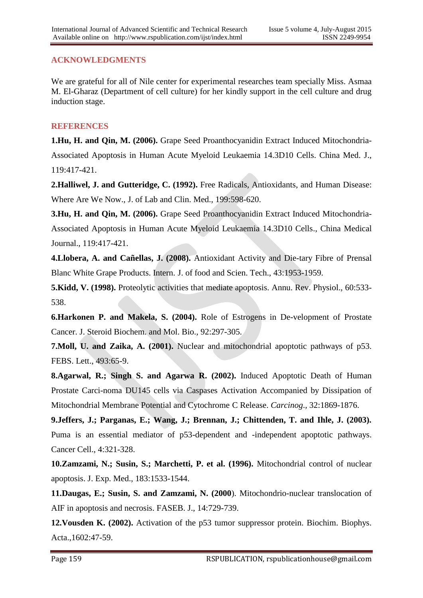## **ACKNOWLEDGMENTS**

We are grateful for all of Nile center for experimental researches team specially Miss. Asmaa M. El-Gharaz (Department of cell culture) for her kindly support in the cell culture and drug induction stage.

## **REFERENCES**

**1.Hu, H. and Qin, M. (2006).** Grape Seed Proanthocyanidin Extract Induced Mitochondria-Associated Apoptosis in Human Acute Myeloid Leukaemia 14.3D10 Cells. China Med. J., 119:417-421.

**2.Halliwel, J. and Gutteridge, C. (1992).** Free Radicals, Antioxidants, and Human Disease: Where Are We Now., J. of Lab and Clin. Med., 199:598-620.

**3.Hu, H. and Qin, M. (2006).** Grape Seed Proanthocyanidin Extract Induced Mitochondria-Associated Apoptosis in Human Acute Myeloid Leukaemia 14.3D10 Cells., China Medical Journal., 119:417-421.

**4.Llobera, A. and Cañellas, J. (2008).** Antioxidant Activity and Die-tary Fibre of Prensal Blanc White Grape Products. Intern. J. of food and Scien. Tech., 43:1953-1959.

**5.Kidd, V. (1998).** Proteolytic activities that mediate apoptosis. Annu. Rev. Physiol., 60:533- 538.

**6.Harkonen P. and Makela, S. (2004).** Role of Estrogens in De-velopment of Prostate Cancer. J. Steroid Biochem. and Mol. Bio., 92:297-305.

**7.Moll, U. and Zaika, A. (2001).** Nuclear and mitochondrial apoptotic pathways of p53. FEBS. Lett., 493:65-9.

**8.Agarwal, R.; Singh S. and Agarwa R. (2002).** Induced Apoptotic Death of Human Prostate Carci-noma DU145 cells via Caspases Activation Accompanied by Dissipation of Mitochondrial Membrane Potential and Cytochrome C Release. *Carcinog*., 32:1869-1876.

**9.Jeffers, J.; Parganas, E.; Wang, J.; Brennan, J.; Chittenden, T. and Ihle, J. (2003).** Puma is an essential mediator of p53-dependent and -independent apoptotic pathways. Cancer Cell., 4:321-328.

**10.Zamzami, N.; Susin, S.; Marchetti, P. et al. (1996).** Mitochondrial control of nuclear apoptosis. J. Exp. Med., 183:1533-1544.

**11.Daugas, E.; Susin, S. and Zamzami, N. (2000**). Mitochondrio-nuclear translocation of AIF in apoptosis and necrosis. FASEB. J., 14:729-739.

**12.Vousden K. (2002).** Activation of the p53 tumor suppressor protein. Biochim. Biophys. Acta.,1602:47-59.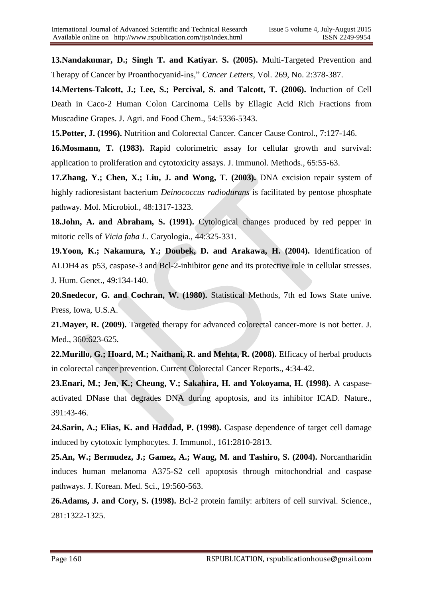**13.Nandakumar, D.; Singh T. and Katiyar. S. (2005).** Multi-Targeted Prevention and Therapy of Cancer by Proanthocyanid-ins," *Cancer Letters*, Vol. 269, No. 2:378-387.

**14.Mertens-Talcott, J.; Lee, S.; Percival, S. and Talcott, T. (2006).** Induction of Cell Death in Caco-2 Human Colon Carcinoma Cells by Ellagic Acid Rich Fractions from Muscadine Grapes. J. Agri. and Food Chem., 54:5336-5343.

**15.Potter, J. (1996).** Nutrition and Colorectal Cancer. Cancer Cause Control., 7:127-146.

**16.Mosmann, T. (1983).** Rapid colorimetric assay for cellular growth and survival: application to proliferation and cytotoxicity assays. J. Immunol. Methods., 65:55-63.

**17.Zhang, Y.; Chen, X.; Liu, J. and Wong, T. (2003).** DNA excision repair system of highly radioresistant bacterium *Deinococcus radiodurans* is facilitated by pentose phosphate pathway. Mol. Microbiol., 48:1317-1323.

**18.John, A. and Abraham, S. (1991).** Cytological changes produced by red pepper in mitotic cells of *Vicia faba L.* Caryologia., 44:325-331.

**19.Yoon, K.; Nakamura, Y.; Doubek, D. and Arakawa, H. (2004).** Identification of ALDH4 as p53, caspase-3 and Bcl-2-inhibitor gene and its protective role in cellular stresses. J. Hum. Genet., 49:134-140.

**20.Snedecor, G. and Cochran, W. (1980).** Statistical Methods, 7th ed Iows State unive. Press, Iowa, U.S.A.

**21.Mayer, R. (2009).** Targeted therapy for advanced colorectal cancer-more is not better. J. Med., 360:623-625.

**22.Murillo, G.; Hoard, M.; Naithani, R. and Mehta, R. (2008).** Efficacy of herbal products in colorectal cancer prevention. Current Colorectal Cancer Reports., 4:34-42.

**23.Enari, M.; Jen, K.; Cheung, V.; Sakahira, H. and Yokoyama, H. (1998).** A caspaseactivated DNase that degrades DNA during apoptosis, and its inhibitor ICAD. Nature., 391:43-46.

**24.Sarin, A.; Elias, K. and Haddad, P. (1998).** Caspase dependence of target cell damage induced by cytotoxic lymphocytes. J. Immunol., 161:2810-2813.

**25.An, W.; Bermudez, J.; Gamez, A.; Wang, M. and Tashiro, S. (2004).** Norcantharidin induces human melanoma A375-S2 cell apoptosis through mitochondrial and caspase pathways. J. Korean. Med. Sci., 19:560-563.

**26.Adams, J. and Cory, S. (1998).** Bcl-2 protein family: arbiters of cell survival. Science., 281:1322-1325.